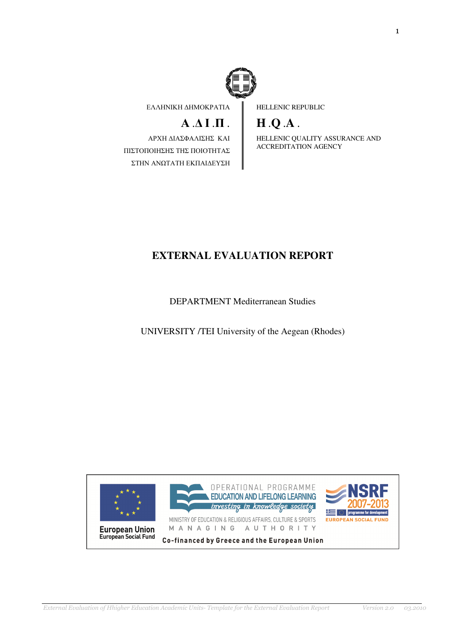

ΕΛΛΗΝΙΚΗ ∆ΗΜΟΚΡΑΤΙΑ

# $A \cdot \Delta I \cdot \Pi$ .

ΑΡΧΗ ∆ΙΑΣΦΑΛΙΣΗΣ ΚΑΙ ΠΙΣΤΟΠΟΙΗΣΗΣ ΤΗΣ ΠΟΙΟΤΗΤΑΣ ΣΤΗΝ ΑΝΩΤΑΤΗ ΕΚΠΑΙ∆ΕΥΣΗ HELLENIC REPUBLIC

# **H** .**Q** .**A** .

HELLENIC QUALITY ASSURANCE AND ACCREDITATION AGENCY

## **EXTERNAL EVALUATION REPORT**

DEPARTMENT Mediterranean Studies

UNIVERSITY /TEI University of the Aegean (Rhodes)

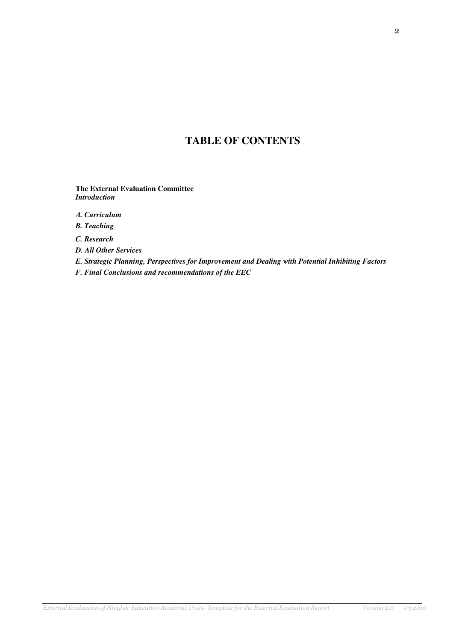## **TABLE OF CONTENTS**

**The External Evaluation Committee**  *Introduction* 

Α*. Curriculum* 

*B. Teaching*

*C. Research* 

*D. All Other Services* 

*E. Strategic Planning, Perspectives for Improvement and Dealing with Potential Inhibiting Factors* 

*F. Final Conclusions and recommendations of the EEC*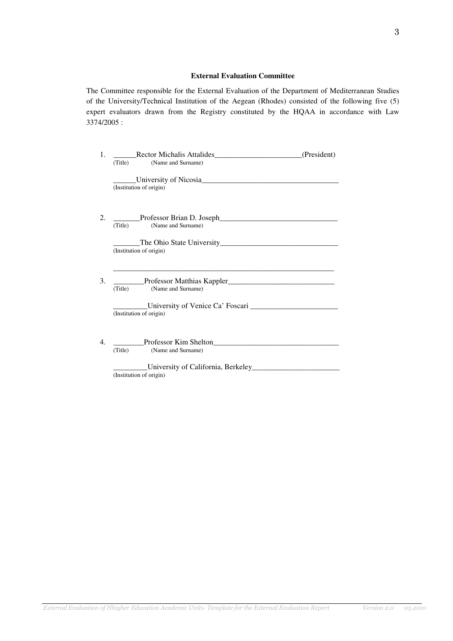#### **External Evaluation Committee**

The Committee responsible for the External Evaluation of the Department of Mediterranean Studies of the University/Technical Institution of the Aegean (Rhodes) consisted of the following five (5) expert evaluators drawn from the Registry constituted by the HQAA in accordance with Law 3374/2005 :

| 1. | Rector Michalis Attalides (President)<br>(Title) (Name and Surname) |  |
|----|---------------------------------------------------------------------|--|
|    | (Institution of origin)                                             |  |
| 2. | (Title) (Name and Surname)                                          |  |
|    | (Institution of origin)                                             |  |
| 3. | (Name and Surname)<br>(Title)                                       |  |
|    | (Institution of origin)                                             |  |
| 4. | Professor Kim Shelton<br>(Name and Surname)<br>(Title)              |  |
|    | University of California, Berkeley<br>(Institution of origin)       |  |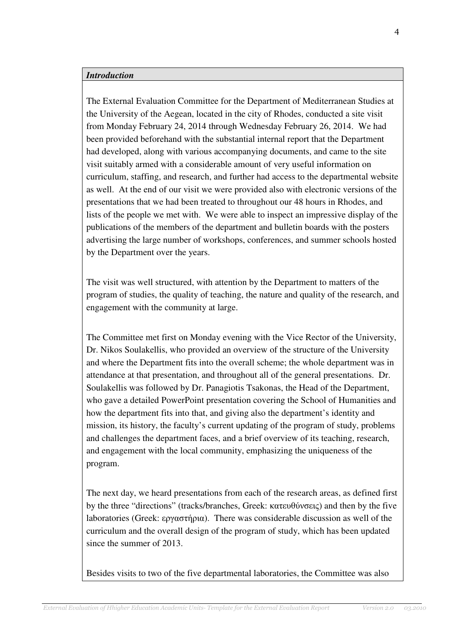#### *Introduction*

The External Evaluation Committee for the Department of Mediterranean Studies at the University of the Aegean, located in the city of Rhodes, conducted a site visit from Monday February 24, 2014 through Wednesday February 26, 2014. We had been provided beforehand with the substantial internal report that the Department had developed, along with various accompanying documents, and came to the site visit suitably armed with a considerable amount of very useful information on curriculum, staffing, and research, and further had access to the departmental website as well. At the end of our visit we were provided also with electronic versions of the presentations that we had been treated to throughout our 48 hours in Rhodes, and lists of the people we met with. We were able to inspect an impressive display of the publications of the members of the department and bulletin boards with the posters advertising the large number of workshops, conferences, and summer schools hosted by the Department over the years.

The visit was well structured, with attention by the Department to matters of the program of studies, the quality of teaching, the nature and quality of the research, and engagement with the community at large.

The Committee met first on Monday evening with the Vice Rector of the University, Dr. Nikos Soulakellis, who provided an overview of the structure of the University and where the Department fits into the overall scheme; the whole department was in attendance at that presentation, and throughout all of the general presentations. Dr. Soulakellis was followed by Dr. Panagiotis Tsakonas, the Head of the Department, who gave a detailed PowerPoint presentation covering the School of Humanities and how the department fits into that, and giving also the department's identity and mission, its history, the faculty's current updating of the program of study, problems and challenges the department faces, and a brief overview of its teaching, research, and engagement with the local community, emphasizing the uniqueness of the program.

The next day, we heard presentations from each of the research areas, as defined first by the three "directions" (tracks/branches, Greek: κατευθύνσεις) and then by the five laboratories (Greek: εργαστήρια). There was considerable discussion as well of the curriculum and the overall design of the program of study, which has been updated since the summer of 2013.

Besides visits to two of the five departmental laboratories, the Committee was also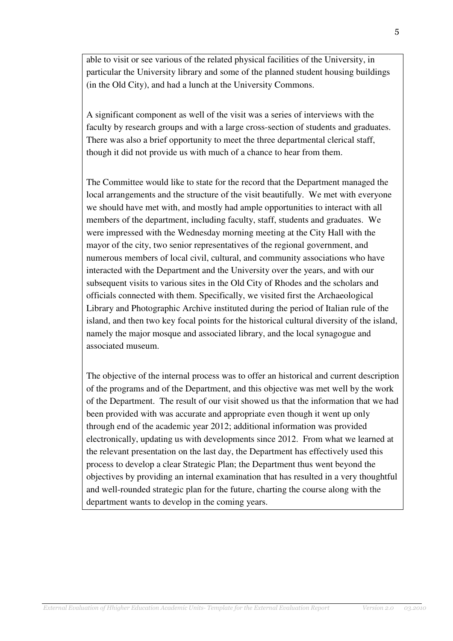able to visit or see various of the related physical facilities of the University, in particular the University library and some of the planned student housing buildings (in the Old City), and had a lunch at the University Commons.

A significant component as well of the visit was a series of interviews with the faculty by research groups and with a large cross-section of students and graduates. There was also a brief opportunity to meet the three departmental clerical staff, though it did not provide us with much of a chance to hear from them.

The Committee would like to state for the record that the Department managed the local arrangements and the structure of the visit beautifully. We met with everyone we should have met with, and mostly had ample opportunities to interact with all members of the department, including faculty, staff, students and graduates. We were impressed with the Wednesday morning meeting at the City Hall with the mayor of the city, two senior representatives of the regional government, and numerous members of local civil, cultural, and community associations who have interacted with the Department and the University over the years, and with our subsequent visits to various sites in the Old City of Rhodes and the scholars and officials connected with them. Specifically, we visited first the Archaeological Library and Photographic Archive instituted during the period of Italian rule of the island, and then two key focal points for the historical cultural diversity of the island, namely the major mosque and associated library, and the local synagogue and associated museum.

The objective of the internal process was to offer an historical and current description of the programs and of the Department, and this objective was met well by the work of the Department. The result of our visit showed us that the information that we had been provided with was accurate and appropriate even though it went up only through end of the academic year 2012; additional information was provided electronically, updating us with developments since 2012. From what we learned at the relevant presentation on the last day, the Department has effectively used this process to develop a clear Strategic Plan; the Department thus went beyond the objectives by providing an internal examination that has resulted in a very thoughtful and well-rounded strategic plan for the future, charting the course along with the department wants to develop in the coming years.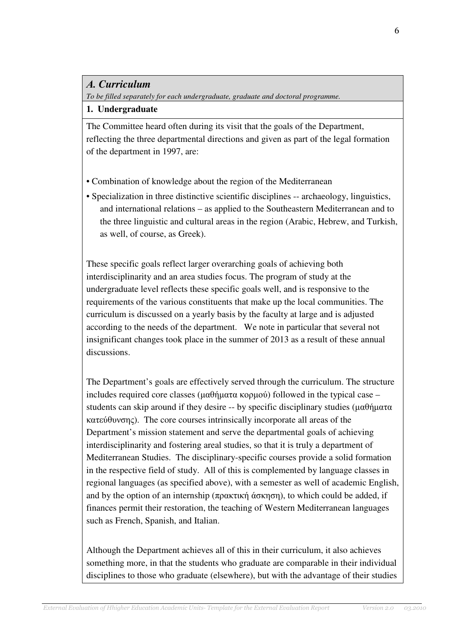### Α*. Curriculum*

*To be filled separately for each undergraduate, graduate and doctoral programme.* 

#### **1. Undergraduate**

The Committee heard often during its visit that the goals of the Department, reflecting the three departmental directions and given as part of the legal formation of the department in 1997, are:

- Combination of knowledge about the region of the Mediterranean
- Specialization in three distinctive scientific disciplines -- archaeology, linguistics, and international relations – as applied to the Southeastern Mediterranean and to the three linguistic and cultural areas in the region (Arabic, Hebrew, and Turkish, as well, of course, as Greek).

These specific goals reflect larger overarching goals of achieving both interdisciplinarity and an area studies focus. The program of study at the undergraduate level reflects these specific goals well, and is responsive to the requirements of the various constituents that make up the local communities. The curriculum is discussed on a yearly basis by the faculty at large and is adjusted according to the needs of the department. We note in particular that several not insignificant changes took place in the summer of 2013 as a result of these annual discussions.

The Department's goals are effectively served through the curriculum. The structure includes required core classes (μαθήματα κορμού) followed in the typical case – students can skip around if they desire -- by specific disciplinary studies ( $\mu\alpha\theta\eta\mu\alpha\tau\alpha$ κατεύθυνσης). The core courses intrinsically incorporate all areas of the Department's mission statement and serve the departmental goals of achieving interdisciplinarity and fostering areal studies, so that it is truly a department of Mediterranean Studies. The disciplinary-specific courses provide a solid formation in the respective field of study. All of this is complemented by language classes in regional languages (as specified above), with a semester as well of academic English, and by the option of an internship (πρακτική άσκηση), to which could be added, if finances permit their restoration, the teaching of Western Mediterranean languages such as French, Spanish, and Italian.

Although the Department achieves all of this in their curriculum, it also achieves something more, in that the students who graduate are comparable in their individual disciplines to those who graduate (elsewhere), but with the advantage of their studies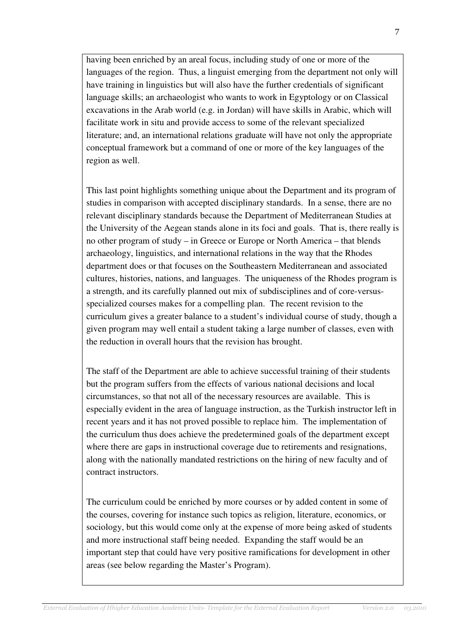having been enriched by an areal focus, including study of one or more of the languages of the region. Thus, a linguist emerging from the department not only will have training in linguistics but will also have the further credentials of significant language skills; an archaeologist who wants to work in Egyptology or on Classical excavations in the Arab world (e.g. in Jordan) will have skills in Arabic, which will facilitate work in situ and provide access to some of the relevant specialized literature; and, an international relations graduate will have not only the appropriate conceptual framework but a command of one or more of the key languages of the region as well.

This last point highlights something unique about the Department and its program of studies in comparison with accepted disciplinary standards. In a sense, there are no relevant disciplinary standards because the Department of Mediterranean Studies at the University of the Aegean stands alone in its foci and goals. That is, there really is no other program of study – in Greece or Europe or North America – that blends archaeology, linguistics, and international relations in the way that the Rhodes department does or that focuses on the Southeastern Mediterranean and associated cultures, histories, nations, and languages. The uniqueness of the Rhodes program is a strength, and its carefully planned out mix of subdisciplines and of core-versusspecialized courses makes for a compelling plan. The recent revision to the curriculum gives a greater balance to a student's individual course of study, though a given program may well entail a student taking a large number of classes, even with the reduction in overall hours that the revision has brought.

The staff of the Department are able to achieve successful training of their students but the program suffers from the effects of various national decisions and local circumstances, so that not all of the necessary resources are available. This is especially evident in the area of language instruction, as the Turkish instructor left in recent years and it has not proved possible to replace him. The implementation of the curriculum thus does achieve the predetermined goals of the department except where there are gaps in instructional coverage due to retirements and resignations, along with the nationally mandated restrictions on the hiring of new faculty and of contract instructors.

The curriculum could be enriched by more courses or by added content in some of the courses, covering for instance such topics as religion, literature, economics, or sociology, but this would come only at the expense of more being asked of students and more instructional staff being needed. Expanding the staff would be an important step that could have very positive ramifications for development in other areas (see below regarding the Master's Program).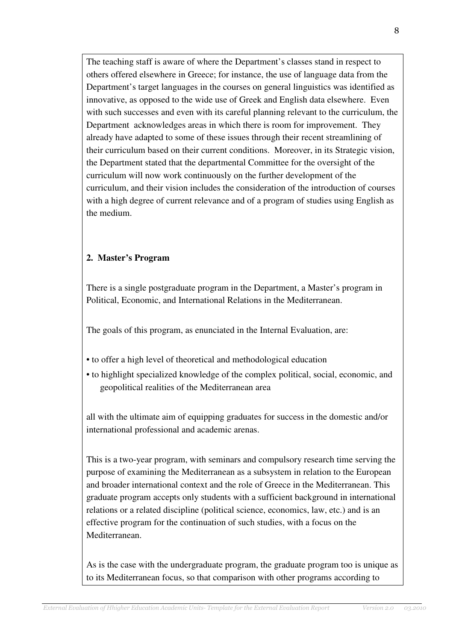The teaching staff is aware of where the Department's classes stand in respect to others offered elsewhere in Greece; for instance, the use of language data from the Department's target languages in the courses on general linguistics was identified as innovative, as opposed to the wide use of Greek and English data elsewhere. Even with such successes and even with its careful planning relevant to the curriculum, the Department acknowledges areas in which there is room for improvement. They already have adapted to some of these issues through their recent streamlining of their curriculum based on their current conditions. Moreover, in its Strategic vision, the Department stated that the departmental Committee for the oversight of the curriculum will now work continuously on the further development of the curriculum, and their vision includes the consideration of the introduction of courses with a high degree of current relevance and of a program of studies using English as the medium.

### **2. Master's Program**

There is a single postgraduate program in the Department, a Master's program in Political, Economic, and International Relations in the Mediterranean.

The goals of this program, as enunciated in the Internal Evaluation, are:

- to offer a high level of theoretical and methodological education
- to highlight specialized knowledge of the complex political, social, economic, and geopolitical realities of the Mediterranean area

all with the ultimate aim of equipping graduates for success in the domestic and/or international professional and academic arenas.

This is a two-year program, with seminars and compulsory research time serving the purpose of examining the Mediterranean as a subsystem in relation to the European and broader international context and the role of Greece in the Mediterranean. This graduate program accepts only students with a sufficient background in international relations or a related discipline (political science, economics, law, etc.) and is an effective program for the continuation of such studies, with a focus on the Mediterranean.

As is the case with the undergraduate program, the graduate program too is unique as to its Mediterranean focus, so that comparison with other programs according to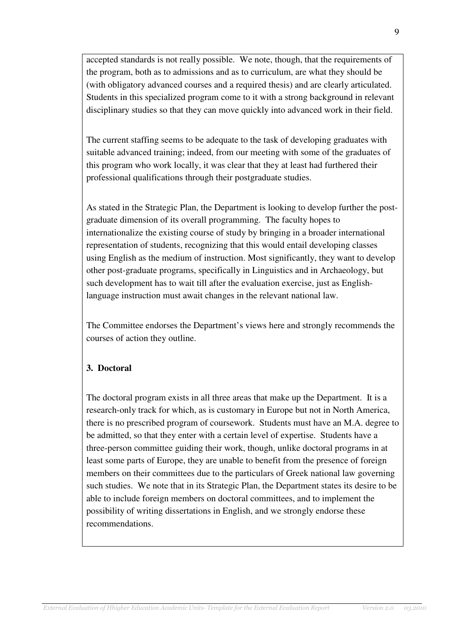accepted standards is not really possible. We note, though, that the requirements of the program, both as to admissions and as to curriculum, are what they should be (with obligatory advanced courses and a required thesis) and are clearly articulated. Students in this specialized program come to it with a strong background in relevant disciplinary studies so that they can move quickly into advanced work in their field.

The current staffing seems to be adequate to the task of developing graduates with suitable advanced training; indeed, from our meeting with some of the graduates of this program who work locally, it was clear that they at least had furthered their professional qualifications through their postgraduate studies.

As stated in the Strategic Plan, the Department is looking to develop further the postgraduate dimension of its overall programming. The faculty hopes to internationalize the existing course of study by bringing in a broader international representation of students, recognizing that this would entail developing classes using English as the medium of instruction. Most significantly, they want to develop other post-graduate programs, specifically in Linguistics and in Archaeology, but such development has to wait till after the evaluation exercise, just as Englishlanguage instruction must await changes in the relevant national law.

The Committee endorses the Department's views here and strongly recommends the courses of action they outline.

### **3. Doctoral**

The doctoral program exists in all three areas that make up the Department. It is a research-only track for which, as is customary in Europe but not in North America, there is no prescribed program of coursework. Students must have an M.A. degree to be admitted, so that they enter with a certain level of expertise. Students have a three-person committee guiding their work, though, unlike doctoral programs in at least some parts of Europe, they are unable to benefit from the presence of foreign members on their committees due to the particulars of Greek national law governing such studies. We note that in its Strategic Plan, the Department states its desire to be able to include foreign members on doctoral committees, and to implement the possibility of writing dissertations in English, and we strongly endorse these recommendations.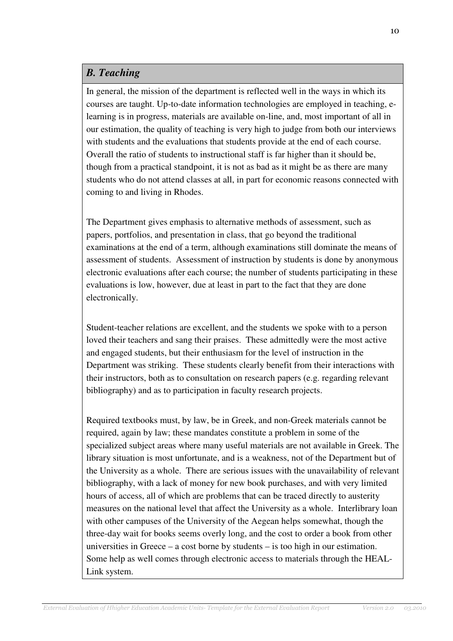### *B. Teaching*

In general, the mission of the department is reflected well in the ways in which its courses are taught. Up-to-date information technologies are employed in teaching, elearning is in progress, materials are available on-line, and, most important of all in our estimation, the quality of teaching is very high to judge from both our interviews with students and the evaluations that students provide at the end of each course. Overall the ratio of students to instructional staff is far higher than it should be, though from a practical standpoint, it is not as bad as it might be as there are many students who do not attend classes at all, in part for economic reasons connected with coming to and living in Rhodes.

The Department gives emphasis to alternative methods of assessment, such as papers, portfolios, and presentation in class, that go beyond the traditional examinations at the end of a term, although examinations still dominate the means of assessment of students. Assessment of instruction by students is done by anonymous electronic evaluations after each course; the number of students participating in these evaluations is low, however, due at least in part to the fact that they are done electronically.

Student-teacher relations are excellent, and the students we spoke with to a person loved their teachers and sang their praises. These admittedly were the most active and engaged students, but their enthusiasm for the level of instruction in the Department was striking. These students clearly benefit from their interactions with their instructors, both as to consultation on research papers (e.g. regarding relevant bibliography) and as to participation in faculty research projects.

Required textbooks must, by law, be in Greek, and non-Greek materials cannot be required, again by law; these mandates constitute a problem in some of the specialized subject areas where many useful materials are not available in Greek. The library situation is most unfortunate, and is a weakness, not of the Department but of the University as a whole. There are serious issues with the unavailability of relevant bibliography, with a lack of money for new book purchases, and with very limited hours of access, all of which are problems that can be traced directly to austerity measures on the national level that affect the University as a whole. Interlibrary loan with other campuses of the University of the Aegean helps somewhat, though the three-day wait for books seems overly long, and the cost to order a book from other universities in Greece – a cost borne by students – is too high in our estimation. Some help as well comes through electronic access to materials through the HEAL-Link system.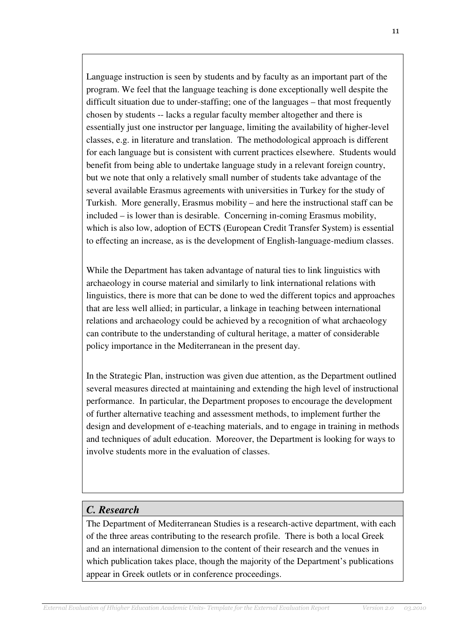Language instruction is seen by students and by faculty as an important part of the program. We feel that the language teaching is done exceptionally well despite the difficult situation due to under-staffing; one of the languages – that most frequently chosen by students -- lacks a regular faculty member altogether and there is essentially just one instructor per language, limiting the availability of higher-level classes, e.g. in literature and translation. The methodological approach is different for each language but is consistent with current practices elsewhere. Students would benefit from being able to undertake language study in a relevant foreign country, but we note that only a relatively small number of students take advantage of the several available Erasmus agreements with universities in Turkey for the study of Turkish. More generally, Erasmus mobility – and here the instructional staff can be included – is lower than is desirable. Concerning in-coming Erasmus mobility, which is also low, adoption of ECTS (European Credit Transfer System) is essential to effecting an increase, as is the development of English-language-medium classes.

While the Department has taken advantage of natural ties to link linguistics with archaeology in course material and similarly to link international relations with linguistics, there is more that can be done to wed the different topics and approaches that are less well allied; in particular, a linkage in teaching between international relations and archaeology could be achieved by a recognition of what archaeology can contribute to the understanding of cultural heritage, a matter of considerable policy importance in the Mediterranean in the present day.

In the Strategic Plan, instruction was given due attention, as the Department outlined several measures directed at maintaining and extending the high level of instructional performance. In particular, the Department proposes to encourage the development of further alternative teaching and assessment methods, to implement further the design and development of e-teaching materials, and to engage in training in methods and techniques of adult education. Moreover, the Department is looking for ways to involve students more in the evaluation of classes.

## *C. Research*

The Department of Mediterranean Studies is a research-active department, with each of the three areas contributing to the research profile. There is both a local Greek and an international dimension to the content of their research and the venues in which publication takes place, though the majority of the Department's publications appear in Greek outlets or in conference proceedings.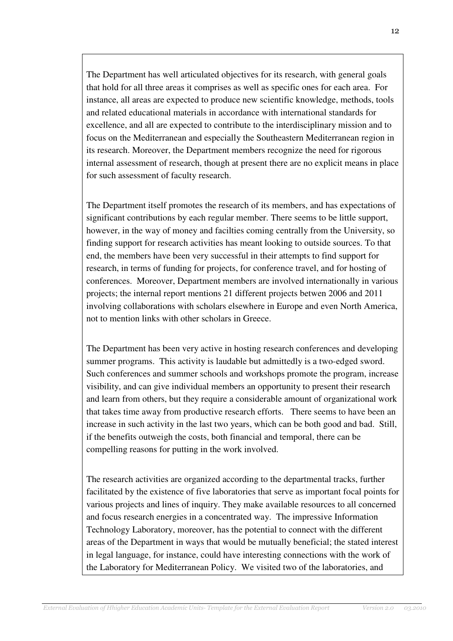The Department has well articulated objectives for its research, with general goals that hold for all three areas it comprises as well as specific ones for each area. For instance, all areas are expected to produce new scientific knowledge, methods, tools and related educational materials in accordance with international standards for excellence, and all are expected to contribute to the interdisciplinary mission and to focus on the Mediterranean and especially the Southeastern Mediterranean region in its research. Moreover, the Department members recognize the need for rigorous internal assessment of research, though at present there are no explicit means in place for such assessment of faculty research.

The Department itself promotes the research of its members, and has expectations of significant contributions by each regular member. There seems to be little support, however, in the way of money and facilties coming centrally from the University, so finding support for research activities has meant looking to outside sources. To that end, the members have been very successful in their attempts to find support for research, in terms of funding for projects, for conference travel, and for hosting of conferences. Moreover, Department members are involved internationally in various projects; the internal report mentions 21 different projects betwen 2006 and 2011 involving collaborations with scholars elsewhere in Europe and even North America, not to mention links with other scholars in Greece.

The Department has been very active in hosting research conferences and developing summer programs. This activity is laudable but admittedly is a two-edged sword. Such conferences and summer schools and workshops promote the program, increase visibility, and can give individual members an opportunity to present their research and learn from others, but they require a considerable amount of organizational work that takes time away from productive research efforts. There seems to have been an increase in such activity in the last two years, which can be both good and bad. Still, if the benefits outweigh the costs, both financial and temporal, there can be compelling reasons for putting in the work involved.

The research activities are organized according to the departmental tracks, further facilitated by the existence of five laboratories that serve as important focal points for various projects and lines of inquiry. They make available resources to all concerned and focus research energies in a concentrated way. The impressive Information Technology Laboratory, moreover, has the potential to connect with the different areas of the Department in ways that would be mutually beneficial; the stated interest in legal language, for instance, could have interesting connections with the work of the Laboratory for Mediterranean Policy. We visited two of the laboratories, and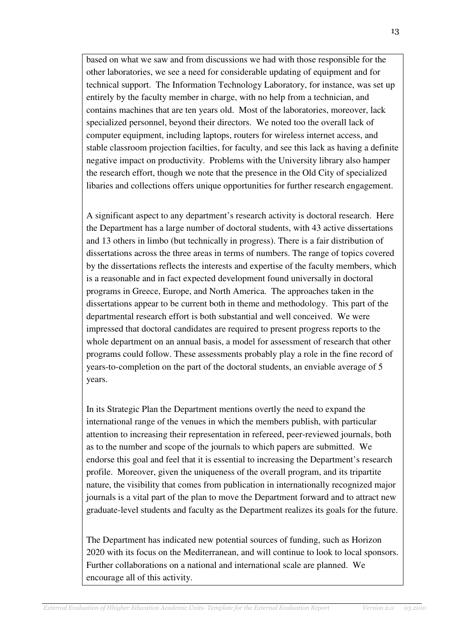based on what we saw and from discussions we had with those responsible for the other laboratories, we see a need for considerable updating of equipment and for technical support. The Information Technology Laboratory, for instance, was set up entirely by the faculty member in charge, with no help from a technician, and contains machines that are ten years old. Most of the laboratories, moreover, lack specialized personnel, beyond their directors. We noted too the overall lack of computer equipment, including laptops, routers for wireless internet access, and stable classroom projection facilties, for faculty, and see this lack as having a definite negative impact on productivity. Problems with the University library also hamper the research effort, though we note that the presence in the Old City of specialized libaries and collections offers unique opportunities for further research engagement.

A significant aspect to any department's research activity is doctoral research. Here the Department has a large number of doctoral students, with 43 active dissertations and 13 others in limbo (but technically in progress). There is a fair distribution of dissertations across the three areas in terms of numbers. The range of topics covered by the dissertations reflects the interests and expertise of the faculty members, which is a reasonable and in fact expected development found universally in doctoral programs in Greece, Europe, and North America. The approaches taken in the dissertations appear to be current both in theme and methodology. This part of the departmental research effort is both substantial and well conceived. We were impressed that doctoral candidates are required to present progress reports to the whole department on an annual basis, a model for assessment of research that other programs could follow. These assessments probably play a role in the fine record of years-to-completion on the part of the doctoral students, an enviable average of 5 years.

In its Strategic Plan the Department mentions overtly the need to expand the international range of the venues in which the members publish, with particular attention to increasing their representation in refereed, peer-reviewed journals, both as to the number and scope of the journals to which papers are submitted. We endorse this goal and feel that it is essential to increasing the Department's research profile. Moreover, given the uniqueness of the overall program, and its tripartite nature, the visibility that comes from publication in internationally recognized major journals is a vital part of the plan to move the Department forward and to attract new graduate-level students and faculty as the Department realizes its goals for the future.

The Department has indicated new potential sources of funding, such as Horizon 2020 with its focus on the Mediterranean, and will continue to look to local sponsors. Further collaborations on a national and international scale are planned. We encourage all of this activity.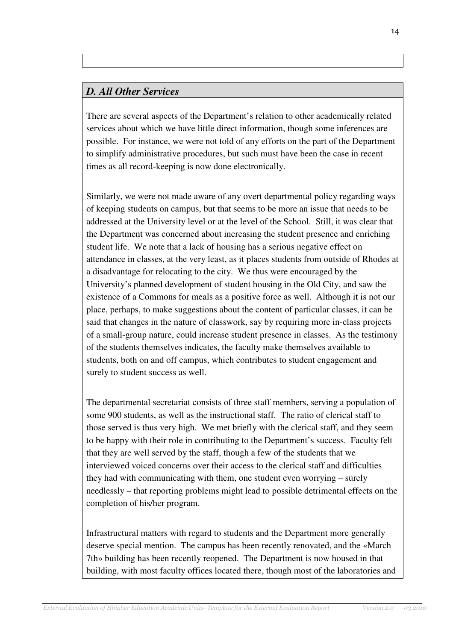### *D. All Other Services*

There are several aspects of the Department's relation to other academically related services about which we have little direct information, though some inferences are possible. For instance, we were not told of any efforts on the part of the Department to simplify administrative procedures, but such must have been the case in recent times as all record-keeping is now done electronically.

Similarly, we were not made aware of any overt departmental policy regarding ways of keeping students on campus, but that seems to be more an issue that needs to be addressed at the University level or at the level of the School. Still, it was clear that the Department was concerned about increasing the student presence and enriching student life. We note that a lack of housing has a serious negative effect on attendance in classes, at the very least, as it places students from outside of Rhodes at a disadvantage for relocating to the city. We thus were encouraged by the University's planned development of student housing in the Old City, and saw the existence of a Commons for meals as a positive force as well. Although it is not our place, perhaps, to make suggestions about the content of particular classes, it can be said that changes in the nature of classwork, say by requiring more in-class projects of a small-group nature, could increase student presence in classes. As the testimony of the students themselves indicates, the faculty make themselves available to students, both on and off campus, which contributes to student engagement and surely to student success as well.

The departmental secretariat consists of three staff members, serving a population of some 900 students, as well as the instructional staff. The ratio of clerical staff to those served is thus very high. We met briefly with the clerical staff, and they seem to be happy with their role in contributing to the Department's success. Faculty felt that they are well served by the staff, though a few of the students that we interviewed voiced concerns over their access to the clerical staff and difficulties they had with communicating with them, one student even worrying – surely needlessly – that reporting problems might lead to possible detrimental effects on the completion of his/her program.

Infrastructural matters with regard to students and the Department more generally deserve special mention. The campus has been recently renovated, and the «March 7th» building has been recently reopened. The Department is now housed in that building, with most faculty offices located there, though most of the laboratories and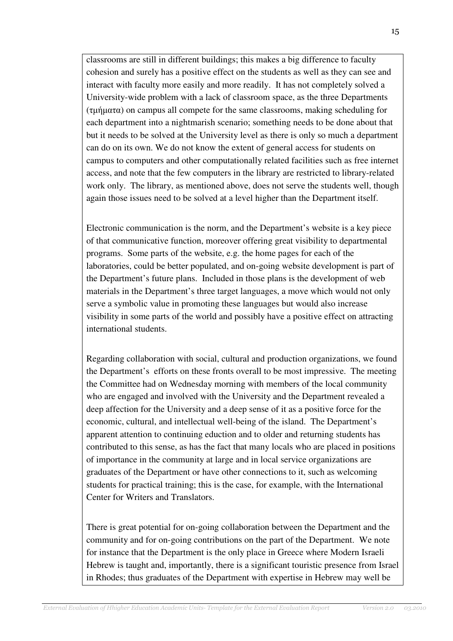classrooms are still in different buildings; this makes a big difference to faculty cohesion and surely has a positive effect on the students as well as they can see and interact with faculty more easily and more readily. It has not completely solved a University-wide problem with a lack of classroom space, as the three Departments (τµήµατα) on campus all compete for the same classrooms, making scheduling for each department into a nightmarish scenario; something needs to be done about that but it needs to be solved at the University level as there is only so much a department can do on its own. We do not know the extent of general access for students on campus to computers and other computationally related facilities such as free internet access, and note that the few computers in the library are restricted to library-related work only. The library, as mentioned above, does not serve the students well, though again those issues need to be solved at a level higher than the Department itself.

Electronic communication is the norm, and the Department's website is a key piece of that communicative function, moreover offering great visibility to departmental programs. Some parts of the website, e.g. the home pages for each of the laboratories, could be better populated, and on-going website development is part of the Department's future plans. Included in those plans is the development of web materials in the Department's three target languages, a move which would not only serve a symbolic value in promoting these languages but would also increase visibility in some parts of the world and possibly have a positive effect on attracting international students.

Regarding collaboration with social, cultural and production organizations, we found the Department's efforts on these fronts overall to be most impressive. The meeting the Committee had on Wednesday morning with members of the local community who are engaged and involved with the University and the Department revealed a deep affection for the University and a deep sense of it as a positive force for the economic, cultural, and intellectual well-being of the island. The Department's apparent attention to continuing eduction and to older and returning students has contributed to this sense, as has the fact that many locals who are placed in positions of importance in the community at large and in local service organizations are graduates of the Department or have other connections to it, such as welcoming students for practical training; this is the case, for example, with the International Center for Writers and Translators.

There is great potential for on-going collaboration between the Department and the community and for on-going contributions on the part of the Department. We note for instance that the Department is the only place in Greece where Modern Israeli Hebrew is taught and, importantly, there is a significant touristic presence from Israel in Rhodes; thus graduates of the Department with expertise in Hebrew may well be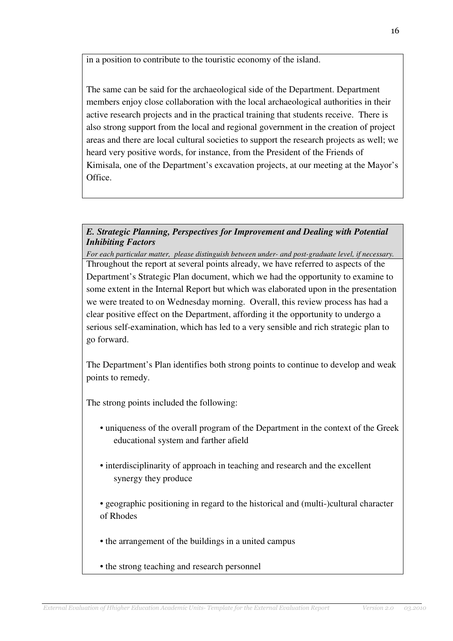in a position to contribute to the touristic economy of the island.

The same can be said for the archaeological side of the Department. Department members enjoy close collaboration with the local archaeological authorities in their active research projects and in the practical training that students receive. There is also strong support from the local and regional government in the creation of project areas and there are local cultural societies to support the research projects as well; we heard very positive words, for instance, from the President of the Friends of Kimisala, one of the Department's excavation projects, at our meeting at the Mayor's Office.

### *E. Strategic Planning, Perspectives for Improvement and Dealing with Potential Inhibiting Factors*

*For each particular matter, please distinguish between under- and post-graduate level, if necessary.*  Throughout the report at several points already, we have referred to aspects of the Department's Strategic Plan document, which we had the opportunity to examine to some extent in the Internal Report but which was elaborated upon in the presentation we were treated to on Wednesday morning. Overall, this review process has had a clear positive effect on the Department, affording it the opportunity to undergo a serious self-examination, which has led to a very sensible and rich strategic plan to go forward.

The Department's Plan identifies both strong points to continue to develop and weak points to remedy.

The strong points included the following:

- uniqueness of the overall program of the Department in the context of the Greek educational system and farther afield
- interdisciplinarity of approach in teaching and research and the excellent synergy they produce
- geographic positioning in regard to the historical and (multi-)cultural character of Rhodes
- the arrangement of the buildings in a united campus

• the strong teaching and research personnel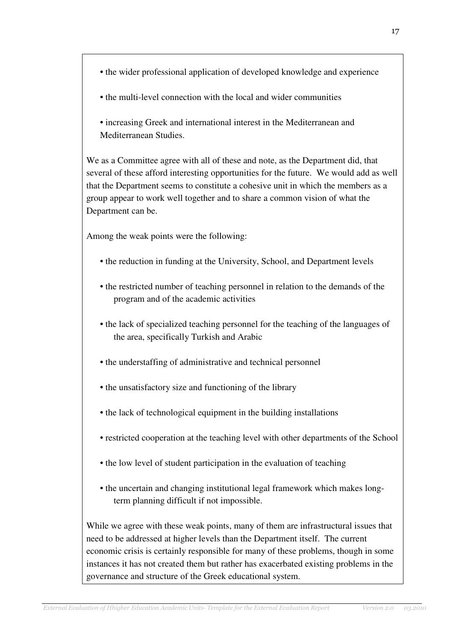- the wider professional application of developed knowledge and experience
- the multi-level connection with the local and wider communities
- increasing Greek and international interest in the Mediterranean and Mediterranean Studies.

We as a Committee agree with all of these and note, as the Department did, that several of these afford interesting opportunities for the future. We would add as well that the Department seems to constitute a cohesive unit in which the members as a group appear to work well together and to share a common vision of what the Department can be.

Among the weak points were the following:

- the reduction in funding at the University, School, and Department levels
- the restricted number of teaching personnel in relation to the demands of the program and of the academic activities
- the lack of specialized teaching personnel for the teaching of the languages of the area, specifically Turkish and Arabic
- the understaffing of administrative and technical personnel
- the unsatisfactory size and functioning of the library
- the lack of technological equipment in the building installations
- restricted cooperation at the teaching level with other departments of the School
- the low level of student participation in the evaluation of teaching
- the uncertain and changing institutional legal framework which makes longterm planning difficult if not impossible.

While we agree with these weak points, many of them are infrastructural issues that need to be addressed at higher levels than the Department itself. The current economic crisis is certainly responsible for many of these problems, though in some instances it has not created them but rather has exacerbated existing problems in the governance and structure of the Greek educational system.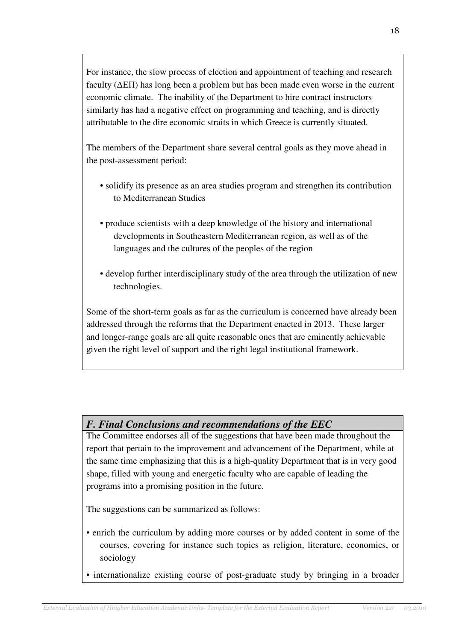For instance, the slow process of election and appointment of teaching and research faculty (∆ΕΠ) has long been a problem but has been made even worse in the current economic climate. The inability of the Department to hire contract instructors similarly has had a negative effect on programming and teaching, and is directly attributable to the dire economic straits in which Greece is currently situated.

The members of the Department share several central goals as they move ahead in the post-assessment period:

- solidify its presence as an area studies program and strengthen its contribution to Mediterranean Studies
- produce scientists with a deep knowledge of the history and international developments in Southeastern Mediterranean region, as well as of the languages and the cultures of the peoples of the region
- develop further interdisciplinary study of the area through the utilization of new technologies.

Some of the short-term goals as far as the curriculum is concerned have already been addressed through the reforms that the Department enacted in 2013. These larger and longer-range goals are all quite reasonable ones that are eminently achievable given the right level of support and the right legal institutional framework.

## *F. Final Conclusions and recommendations of the EEC*

The Committee endorses all of the suggestions that have been made throughout the report that pertain to the improvement and advancement of the Department, while at the same time emphasizing that this is a high-quality Department that is in very good shape, filled with young and energetic faculty who are capable of leading the programs into a promising position in the future.

The suggestions can be summarized as follows:

- enrich the curriculum by adding more courses or by added content in some of the courses, covering for instance such topics as religion, literature, economics, or sociology
- internationalize existing course of post-graduate study by bringing in a broader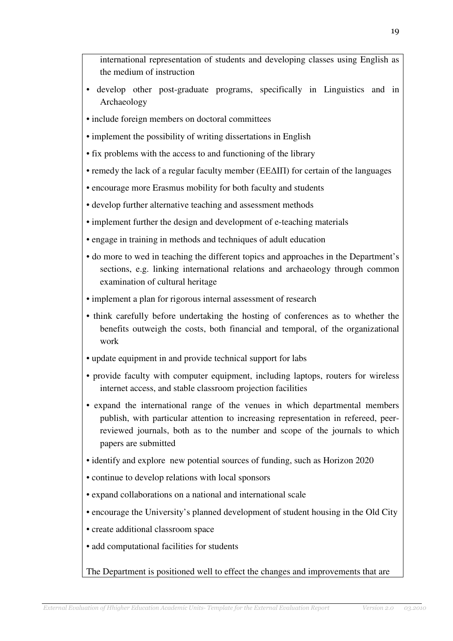international representation of students and developing classes using English as the medium of instruction

- develop other post-graduate programs, specifically in Linguistics and in Archaeology
- include foreign members on doctoral committees
- implement the possibility of writing dissertations in English
- fix problems with the access to and functioning of the library
- remedy the lack of a regular faculty member (ΕΕ∆ΙΠ) for certain of the languages
- encourage more Erasmus mobility for both faculty and students
- develop further alternative teaching and assessment methods
- implement further the design and development of e-teaching materials
- engage in training in methods and techniques of adult education
- do more to wed in teaching the different topics and approaches in the Department's sections, e.g. linking international relations and archaeology through common examination of cultural heritage
- implement a plan for rigorous internal assessment of research
- think carefully before undertaking the hosting of conferences as to whether the benefits outweigh the costs, both financial and temporal, of the organizational work
- update equipment in and provide technical support for labs
- provide faculty with computer equipment, including laptops, routers for wireless internet access, and stable classroom projection facilities
- expand the international range of the venues in which departmental members publish, with particular attention to increasing representation in refereed, peerreviewed journals, both as to the number and scope of the journals to which papers are submitted
- identify and explore new potential sources of funding, such as Horizon 2020
- continue to develop relations with local sponsors
- expand collaborations on a national and international scale
- encourage the University's planned development of student housing in the Old City
- create additional classroom space
- add computational facilities for students

The Department is positioned well to effect the changes and improvements that are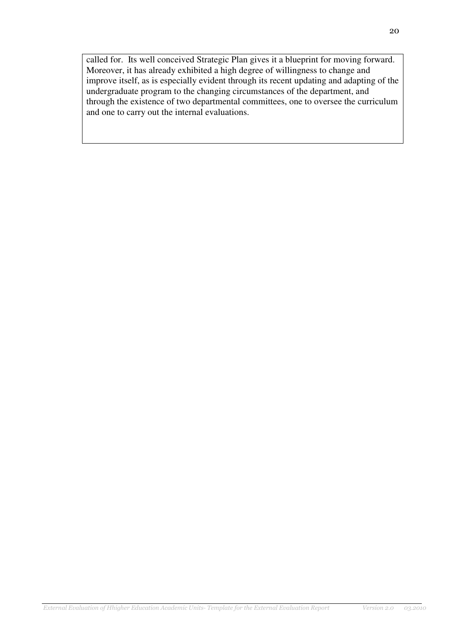called for. Its well conceived Strategic Plan gives it a blueprint for moving forward. Moreover, it has already exhibited a high degree of willingness to change and improve itself, as is especially evident through its recent updating and adapting of the undergraduate program to the changing circumstances of the department, and through the existence of two departmental committees, one to oversee the curriculum and one to carry out the internal evaluations.